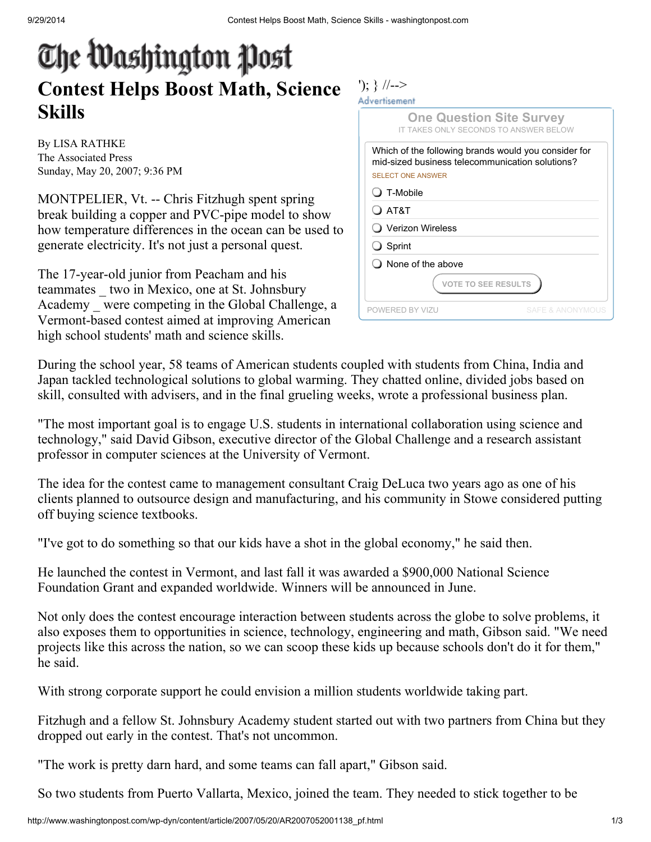## The Washington Post Contest Helps Boost Math, Science Skills

By LISA RATHKE The Associated Press Sunday, May 20, 2007; 9:36 PM

MONTPELIER, Vt. -- Chris Fitzhugh spent spring break building a copper and PVC-pipe model to show how temperature differences in the ocean can be used to generate electricity. It's not just a personal quest.

The 17-year-old junior from Peacham and his teammates \_ two in Mexico, one at St. Johnsbury Academy \_ were competing in the Global Challenge, a Vermont-based contest aimed at improving American high school students' math and science skills.

| <b>One Question Site Survey</b><br>IT TAKES ONLY SECONDS TO ANSWER BELOW                                                            |                             |
|-------------------------------------------------------------------------------------------------------------------------------------|-----------------------------|
| Which of the following brands would you consider for<br>mid-sized business telecommunication solutions?<br><b>SELECT ONE ANSWER</b> |                             |
| J T-Mobile                                                                                                                          |                             |
| ) AT&T                                                                                                                              |                             |
| Verizon Wireless                                                                                                                    |                             |
| <b>J</b> Sprint                                                                                                                     |                             |
| I None of the above                                                                                                                 |                             |
| <b>VOTE TO SEE RESULTS</b>                                                                                                          |                             |
| POWERED BY VIZU                                                                                                                     | <b>SAFE &amp; ANONYMOUS</b> |

During the school year, 58 teams of American students coupled with students from China, India and Japan tackled technological solutions to global warming. They chatted online, divided jobs based on skill, consulted with advisers, and in the final grueling weeks, wrote a professional business plan.

"The most important goal is to engage U.S. students in international collaboration using science and technology," said David Gibson, executive director of the Global Challenge and a research assistant professor in computer sciences at the University of Vermont.

The idea for the contest came to management consultant Craig DeLuca two years ago as one of his clients planned to outsource design and manufacturing, and his community in Stowe considered putting off buying science textbooks.

"I've got to do something so that our kids have a shot in the global economy," he said then.

He launched the contest in Vermont, and last fall it was awarded a \$900,000 National Science Foundation Grant and expanded worldwide. Winners will be announced in June.

Not only does the contest encourage interaction between students across the globe to solve problems, it also exposes them to opportunities in science, technology, engineering and math, Gibson said. "We need projects like this across the nation, so we can scoop these kids up because schools don't do it for them," he said.

With strong corporate support he could envision a million students worldwide taking part.

Fitzhugh and a fellow St. Johnsbury Academy student started out with two partners from China but they dropped out early in the contest. That's not uncommon.

"The work is pretty darn hard, and some teams can fall apart," Gibson said.

So two students from Puerto Vallarta, Mexico, joined the team. They needed to stick together to be